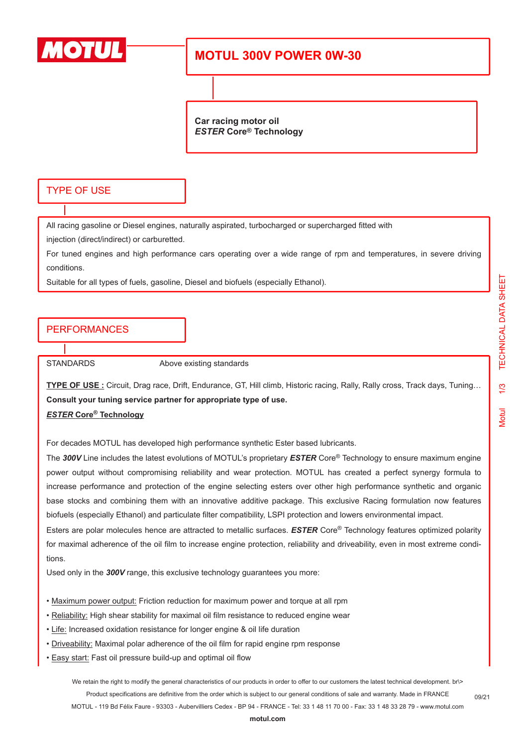

## **MOTUL 300V POWER 0W-30**

**Car racing motor oil** *ESTER* **Core® Technology**

### TYPE OF USE

All racing gasoline or Diesel engines, naturally aspirated, turbocharged or supercharged fitted with

injection (direct/indirect) or carburetted.

For tuned engines and high performance cars operating over a wide range of rpm and temperatures, in severe driving conditions.

Suitable for all types of fuels, gasoline, Diesel and biofuels (especially Ethanol).

### PERFORMANCES

STANDARDS Above existing standards

**TYPE OF USE :** Circuit, Drag race, Drift, Endurance, GT, Hill climb, Historic racing, Rally, Rally cross, Track days, Tuning… **Consult your tuning service partner for appropriate type of use.** *ESTER* **Core® Technology**

For decades MOTUL has developed high performance synthetic Ester based lubricants.

The *300V* Line includes the latest evolutions of MOTUL's proprietary *ESTER* Core® Technology to ensure maximum engine power output without compromising reliability and wear protection. MOTUL has created a perfect synergy formula to increase performance and protection of the engine selecting esters over other high performance synthetic and organic base stocks and combining them with an innovative additive package. This exclusive Racing formulation now features biofuels (especially Ethanol) and particulate filter compatibility, LSPI protection and lowers environmental impact.

Esters are polar molecules hence are attracted to metallic surfaces. *ESTER* Core® Technology features optimized polarity for maximal adherence of the oil film to increase engine protection, reliability and driveability, even in most extreme conditions.

Used only in the *300V* range, this exclusive technology guarantees you more:

- Maximum power output: Friction reduction for maximum power and torque at all rpm
- Reliability: High shear stability for maximal oil film resistance to reduced engine wear
- Life: Increased oxidation resistance for longer engine & oil life duration
- Driveability: Maximal polar adherence of the oil film for rapid engine rpm response
- Easy start: Fast oil pressure build-up and optimal oil flow

We retain the right to modify the general characteristics of our products in order to offer to our customers the latest technical development. br\> Product specifications are definitive from the order which is subject to our general conditions of sale and warranty. Made in FRANCE MOTUL - 119 Bd Félix Faure - 93303 - Aubervilliers Cedex - BP 94 - FRANCE - Tel: 33 1 48 11 70 00 - Fax: 33 1 48 33 28 79 - www.motul.com

**[motul.com](http://www.motul.com)**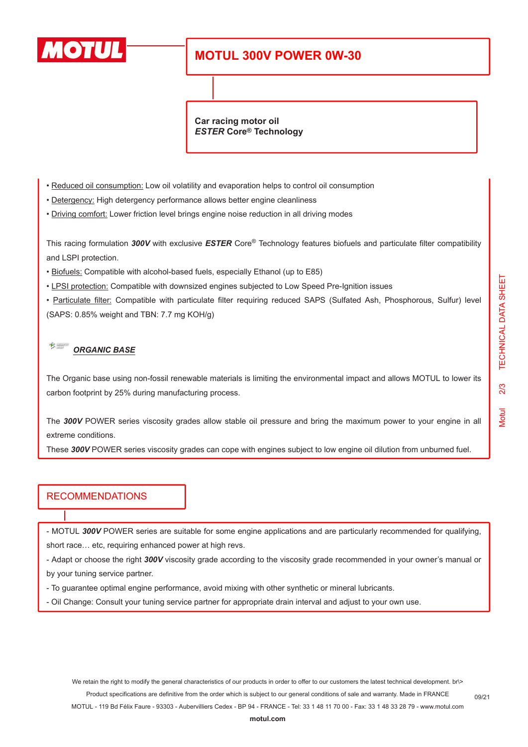

# **MOTUL 300V POWER 0W-30**

**Car racing motor oil** *ESTER* **Core® Technology**

- Reduced oil consumption: Low oil volatility and evaporation helps to control oil consumption
- Detergency: High detergency performance allows better engine cleanliness
- Driving comfort: Lower friction level brings engine noise reduction in all driving modes

This racing formulation *300V* with exclusive *ESTER* Core® Technology features biofuels and particulate filter compatibility and LSPI protection.

- Biofuels: Compatible with alcohol-based fuels, especially Ethanol (up to E85)
- LPSI protection: Compatible with downsized engines subjected to Low Speed Pre-Ignition issues

• Particulate filter: Compatible with particulate filter requiring reduced SAPS (Sulfated Ash, Phosphorous, Sulfur) level (SAPS: 0.85% weight and TBN: 7.7 mg KOH/g)

#### $\frac{1}{\sqrt{2}}$ *ORGANIC BASE*

The Organic base using non-fossil renewable materials is limiting the environmental impact and allows MOTUL to lower its carbon footprint by 25% during manufacturing process.

The *300V* POWER series viscosity grades allow stable oil pressure and bring the maximum power to your engine in all extreme conditions.

These *300V* POWER series viscosity grades can cope with engines subject to low engine oil dilution from unburned fuel.

### **RECOMMENDATIONS**

- MOTUL *300V* POWER series are suitable for some engine applications and are particularly recommended for qualifying, short race… etc, requiring enhanced power at high revs.

- Adapt or choose the right *300V* viscosity grade according to the viscosity grade recommended in your owner's manual or by your tuning service partner.

- To guarantee optimal engine performance, avoid mixing with other synthetic or mineral lubricants.
- Oil Change: Consult your tuning service partner for appropriate drain interval and adjust to your own use.

We retain the right to modify the general characteristics of our products in order to offer to our customers the latest technical development. br\> Product specifications are definitive from the order which is subject to our general conditions of sale and warranty. Made in FRANCE

MOTUL - 119 Bd Félix Faure - 93303 - Aubervilliers Cedex - BP 94 - FRANCE - Tel: 33 1 48 11 70 00 - Fax: 33 1 48 33 28 79 - www.motul.com

**[motul.com](http://www.motul.com)**